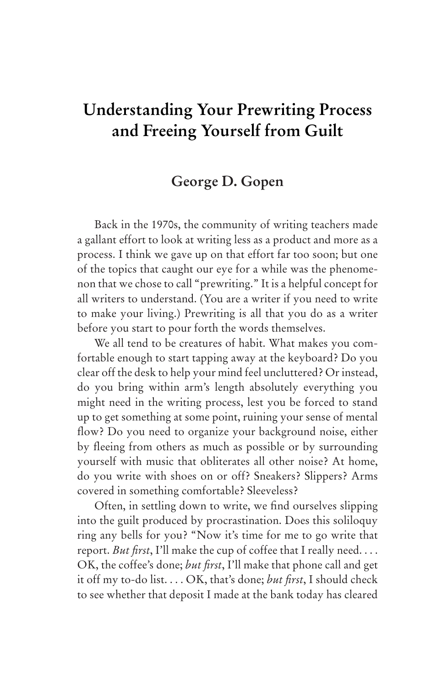## **Understanding Your Prewriting Process and Freeing Yourself from Guilt**

## **George D. Gopen**

Back in the 1970s, the community of writing teachers made a gallant effort to look at writing less as a product and more as a process. I think we gave up on that effort far too soon; but one of the topics that caught our eye for a while was the phenomenon that we chose to call "prewriting." It is a helpful concept for all writers to understand. (You are a writer if you need to write to make your living.) Prewriting is all that you do as a writer before you start to pour forth the words themselves.

We all tend to be creatures of habit. What makes you comfortable enough to start tapping away at the keyboard? Do you clear off the desk to help your mind feel uncluttered? Or instead, do you bring within arm's length absolutely everything you might need in the writing process, lest you be forced to stand up to get something at some point, ruining your sense of mental flow? Do you need to organize your background noise, either by fleeing from others as much as possible or by surrounding yourself with music that obliterates all other noise? At home, do you write with shoes on or off? Sneakers? Slippers? Arms covered in something comfortable? Sleeveless?

Often, in settling down to write, we find ourselves slipping into the guilt produced by procrastination. Does this soliloquy ring any bells for you? "Now it's time for me to go write that report. *But first*, I'll make the cup of coffee that I really need. . . . OK, the coffee's done; *but first*, I'll make that phone call and get it off my to-do list. . . . OK, that's done; *but first*, I should check to see whether that deposit I made at the bank today has cleared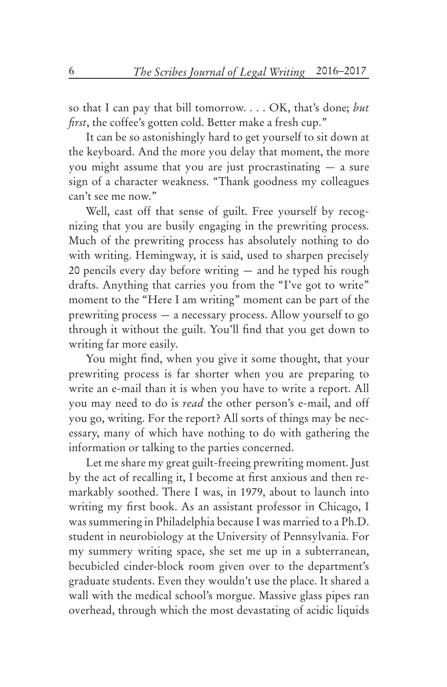so that I can pay that bill tomorrow. . . . OK, that's done; *but first*, the coffee's gotten cold. Better make a fresh cup."

It can be so astonishingly hard to get yourself to sit down at the keyboard. And the more you delay that moment, the more you might assume that you are just procrastinating — a sure sign of a character weakness. "Thank goodness my colleagues can't see me now."

Well, cast off that sense of guilt. Free yourself by recognizing that you are busily engaging in the prewriting process. Much of the prewriting process has absolutely nothing to do with writing. Hemingway, it is said, used to sharpen precisely 20 pencils every day before writing — and he typed his rough drafts. Anything that carries you from the "I've got to write" moment to the "Here I am writing" moment can be part of the prewriting process — a necessary process. Allow yourself to go through it without the guilt. You'll find that you get down to writing far more easily.

You might find, when you give it some thought, that your prewriting process is far shorter when you are preparing to write an e-mail than it is when you have to write a report. All you may need to do is *read* the other person's e-mail, and off you go, writing. For the report? All sorts of things may be necessary, many of which have nothing to do with gathering the information or talking to the parties concerned.

Let me share my great guilt-freeing prewriting moment. Just by the act of recalling it, I become at first anxious and then remarkably soothed. There I was, in 1979, about to launch into writing my first book. As an assistant professor in Chicago, I was summering in Philadelphia because I was married to a Ph.D. student in neurobiology at the University of Pennsylvania. For my summery writing space, she set me up in a subterranean, becubicled cinder-block room given over to the department's graduate students. Even they wouldn't use the place. It shared a wall with the medical school's morgue. Massive glass pipes ran overhead, through which the most devastating of acidic liquids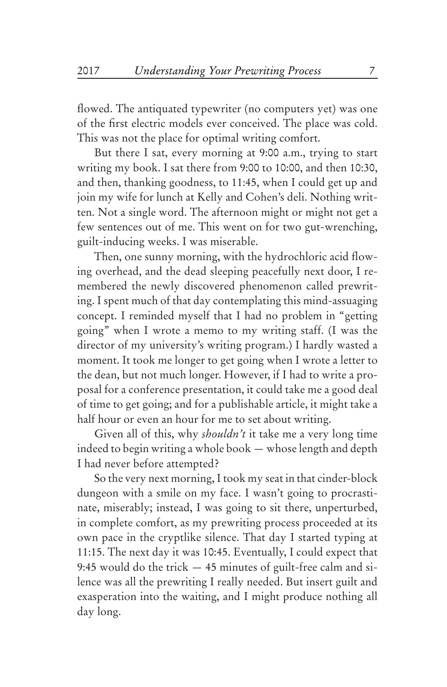flowed. The antiquated typewriter (no computers yet) was one of the first electric models ever conceived. The place was cold. This was not the place for optimal writing comfort.

But there I sat, every morning at 9:00 a.m., trying to start writing my book. I sat there from 9:00 to 10:00, and then 10:30, and then, thanking goodness, to 11:45, when I could get up and join my wife for lunch at Kelly and Cohen's deli. Nothing written. Not a single word. The afternoon might or might not get a few sentences out of me. This went on for two gut-wrenching, guilt-inducing weeks. I was miserable.

Then, one sunny morning, with the hydrochloric acid flowing overhead, and the dead sleeping peacefully next door, I remembered the newly discovered phenomenon called prewriting. I spent much of that day contemplating this mind-assuaging concept. I reminded myself that I had no problem in "getting going" when I wrote a memo to my writing staff. (I was the director of my university's writing program.) I hardly wasted a moment. It took me longer to get going when I wrote a letter to the dean, but not much longer. However, if I had to write a proposal for a conference presentation, it could take me a good deal of time to get going; and for a publishable article, it might take a half hour or even an hour for me to set about writing.

Given all of this, why *shouldn't* it take me a very long time indeed to begin writing a whole book — whose length and depth I had never before attempted?

So the very next morning, I took my seat in that cinder-block dungeon with a smile on my face. I wasn't going to procrastinate, miserably; instead, I was going to sit there, unperturbed, in complete comfort, as my prewriting process proceeded at its own pace in the cryptlike silence. That day I started typing at 11:15. The next day it was 10:45. Eventually, I could expect that 9:45 would do the trick — 45 minutes of guilt-free calm and silence was all the prewriting I really needed. But insert guilt and exasperation into the waiting, and I might produce nothing all day long.